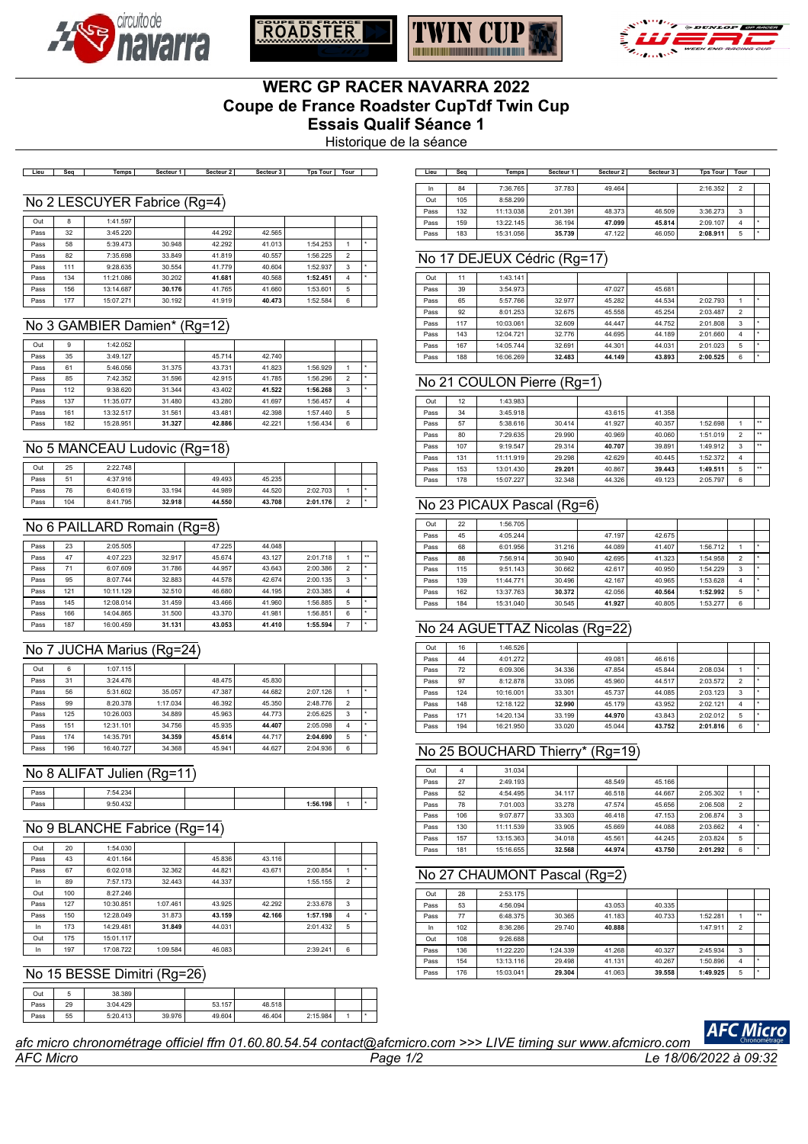







# **WERC GP RACER NAVARRA 2022 Coupe de France Roadster CupTdf Twin Cup Essais Qualif Séance 1**

Historique de la séance

Lieu Seq | Temps | Secteur 1 | Secteur 2 | Secteur 3 | Tps Tour | Tour | ]

#### No 2 LESCUYER Fabrice (Rg=4)

| Out  | 8   | 1:41.597  |        |        |        |          |                |  |
|------|-----|-----------|--------|--------|--------|----------|----------------|--|
| Pass | 32  | 3:45.220  |        | 44.292 | 42.565 |          |                |  |
| Pass | 58  | 5:39.473  | 30.948 | 42.292 | 41.013 | 1:54.253 |                |  |
| Pass | 82  | 7:35.698  | 33.849 | 41.819 | 40.557 | 1:56.225 | $\overline{2}$ |  |
| Pass | 111 | 9:28.635  | 30.554 | 41.779 | 40.604 | 1:52.937 | 3              |  |
| Pass | 134 | 11:21.086 | 30.202 | 41.681 | 40.568 | 1:52.451 | $\overline{4}$ |  |
| Pass | 156 | 13:14.687 | 30.176 | 41.765 | 41.660 | 1:53.601 | 5              |  |
| Pass | 177 | 15:07.271 | 30.192 | 41.919 | 40.473 | 1:52.584 | 6              |  |

#### No 3 GAMBIER Damien\* (Rg=12)

| Out  | 9   | 1:42.052  |        |        |        |          |   |  |
|------|-----|-----------|--------|--------|--------|----------|---|--|
| Pass | 35  | 3:49.127  |        | 45.714 | 42.740 |          |   |  |
| Pass | 61  | 5:46.056  | 31.375 | 43.731 | 41.823 | 1:56.929 |   |  |
| Pass | 85  | 7:42.352  | 31.596 | 42.915 | 41.785 | 1:56.296 | 2 |  |
| Pass | 112 | 9:38.620  | 31.344 | 43.402 | 41.522 | 1:56.268 | 3 |  |
| Pass | 137 | 11:35.077 | 31,480 | 43.280 | 41.697 | 1:56.457 | 4 |  |
| Pass | 161 | 13:32.517 | 31.561 | 43.481 | 42.398 | 1:57.440 | 5 |  |
| Pass | 182 | 15:28.951 | 31.327 | 42.886 | 42.221 | 1:56.434 | 6 |  |

## No 5 MANCEAU Ludovic (Rg=18)

| Out  | 25  | 2:22.748 |        |        |        |          |  |
|------|-----|----------|--------|--------|--------|----------|--|
| Pass | 51  | 4:37.916 |        | 49.493 | 45.235 |          |  |
| Pass | 76  | 6:40.619 | 33.194 | 44.989 | 44.520 | 2:02.703 |  |
| Pass | 104 | 8:41.795 | 32.918 | 44.550 | 43.708 | 2:01.176 |  |

## No 6 PAILLARD Romain (Rg=8)

| Pass | 23  | 2:05.505  |        | 47.225 | 44.048 |          |   |              |
|------|-----|-----------|--------|--------|--------|----------|---|--------------|
| Pass | 47  | 4:07.223  | 32.917 | 45.674 | 43.127 | 2:01.718 |   | $\star\star$ |
| Pass | 71  | 6:07.609  | 31.786 | 44.957 | 43.643 | 2:00.386 | 2 | ٠            |
| Pass | 95  | 8:07.744  | 32.883 | 44.578 | 42.674 | 2:00.135 | 3 |              |
| Pass | 121 | 10:11.129 | 32.510 | 46.680 | 44.195 | 2:03.385 | 4 |              |
| Pass | 145 | 12:08.014 | 31.459 | 43.466 | 41.960 | 1:56.885 | 5 | ٠            |
| Pass | 166 | 14:04.865 | 31.500 | 43.370 | 41.981 | 1:56.851 | 6 | ٠            |
| Pass | 187 | 16:00.459 | 31.131 | 43.053 | 41.410 | 1:55.594 | 7 | ٠            |

## No 7 JUCHA Marius (Rg=24)

| Out  | 6   | 1:07.115  |          |        |        |          |                |  |
|------|-----|-----------|----------|--------|--------|----------|----------------|--|
| Pass | 31  | 3:24.476  |          | 48.475 | 45.830 |          |                |  |
| Pass | 56  | 5:31.602  | 35.057   | 47.387 | 44.682 | 2:07.126 |                |  |
| Pass | 99  | 8:20.378  | 1:17.034 | 46.392 | 45.350 | 2:48.776 | $\overline{2}$ |  |
| Pass | 125 | 10:26.003 | 34.889   | 45.963 | 44.773 | 2:05.625 | 3              |  |
| Pass | 151 | 12:31.101 | 34.756   | 45.935 | 44.407 | 2:05.098 | $\overline{4}$ |  |
| Pass | 174 | 14:35.791 | 34.359   | 45.614 | 44.717 | 2:04.690 | 5              |  |
| Pass | 196 | 16:40.727 | 34.368   | 45.941 | 44.627 | 2:04.936 | 6              |  |

## No 8 ALIFAT Julien (Rg=11)

| Pass | 7:54.234       |  |          |  |
|------|----------------|--|----------|--|
| Pass | 0.50A32<br>9∪+ |  | 1:56.198 |  |

## No 9 BLANCHE Fabrice (Rg=14)

| Out  | 20  | 1:54.030  |          |        |        |          |                |  |
|------|-----|-----------|----------|--------|--------|----------|----------------|--|
| Pass | 43  | 4:01.164  |          | 45.836 | 43.116 |          |                |  |
| Pass | 67  | 6:02.018  | 32.362   | 44.821 | 43.671 | 2:00.854 |                |  |
| In   | 89  | 7:57.173  | 32.443   | 44.337 |        | 1:55.155 | $\overline{2}$ |  |
| Out  | 100 | 8:27.246  |          |        |        |          |                |  |
| Pass | 127 | 10:30.851 | 1:07.461 | 43.925 | 42.292 | 2:33.678 | 3              |  |
| Pass | 150 | 12:28.049 | 31.873   | 43.159 | 42.166 | 1:57.198 | $\overline{4}$ |  |
| In   | 173 | 14:29.481 | 31.849   | 44.031 |        | 2:01.432 | 5              |  |
| Out  | 175 | 15:01.117 |          |        |        |          |                |  |
| In   | 197 | 17:08.722 | 1:09.584 | 46.083 |        | 2:39.241 | 6              |  |

## No 15 BESSE Dimitri (Rg=26)

| Out  |    | 38.389   |        |        |        |          |  |
|------|----|----------|--------|--------|--------|----------|--|
| Pass | 29 | 3:04.429 |        | 53.157 | 48.518 |          |  |
| Pass | 55 | 5:20.413 | 39.976 | 49.604 | 46.404 | 2:15.984 |  |

| Lieu | Sea | Temps l   | Secteur 1 | Secteur 2 | Secteur 3 | <b>Tps Tour</b> | Tour |  |
|------|-----|-----------|-----------|-----------|-----------|-----------------|------|--|
|      |     |           |           |           |           |                 |      |  |
| In   | 84  | 7:36.765  | 37.783    | 49.464    |           | 2:16.352        | 2    |  |
| Out  | 105 | 8:58.299  |           |           |           |                 |      |  |
| Pass | 132 | 11:13.038 | 2:01.391  | 48.373    | 46.509    | 3:36.273        | 3    |  |
| Pass | 159 | 13:22.145 | 36.194    | 47.099    | 45.814    | 2:09.107        | 4    |  |
| Pass | 183 | 15:31.056 | 35.739    | 47.122    | 46.050    | 2:08.911        | 5    |  |

## No 17 DEJEUX Cédric (Rg=17)

| Out  | 11  | 1:43.141  |        |        |        |          |                |  |
|------|-----|-----------|--------|--------|--------|----------|----------------|--|
| Pass | 39  | 3:54.973  |        | 47.027 | 45.681 |          |                |  |
| Pass | 65  | 5:57.766  | 32.977 | 45.282 | 44.534 | 2:02.793 | ٠              |  |
| Pass | 92  | 8:01.253  | 32.675 | 45.558 | 45.254 | 2:03.487 | $\mathfrak{p}$ |  |
| Pass | 117 | 10:03.061 | 32.609 | 44.447 | 44.752 | 2:01.808 | 3              |  |
| Pass | 143 | 12:04.721 | 32,776 | 44.695 | 44.189 | 2:01.660 | 4              |  |
| Pass | 167 | 14:05.744 | 32.691 | 44.301 | 44.031 | 2:01.023 | 5              |  |
| Pass | 188 | 16:06.269 | 32.483 | 44.149 | 43.893 | 2:00.525 | 6              |  |

## No 21 COULON Pierre (Rg=1)

| Out  | 12  | 1:43.983  |        |        |        |          |                |              |
|------|-----|-----------|--------|--------|--------|----------|----------------|--------------|
| Pass | 34  | 3:45.918  |        | 43.615 | 41.358 |          |                |              |
| Pass | 57  | 5:38.616  | 30.414 | 41.927 | 40.357 | 1:52.698 |                | $\star\star$ |
| Pass | 80  | 7:29.635  | 29.990 | 40.969 | 40.060 | 1:51.019 | $\overline{2}$ | $\star\star$ |
| Pass | 107 | 9:19.547  | 29.314 | 40.707 | 39.891 | 1:49.912 | 3              | $\star\star$ |
| Pass | 131 | 11:11.919 | 29.298 | 42.629 | 40.445 | 1:52.372 | 4              |              |
| Pass | 153 | 13:01.430 | 29.201 | 40.867 | 39.443 | 1:49.511 | 5              | $\star\star$ |
| Pass | 178 | 15:07.227 | 32.348 | 44.326 | 49.123 | 2:05.797 | 6              |              |

## No 23 PICAUX Pascal (Rg=6)

| Out  | 22  | 1:56.705  |        |        |        |          |                |   |
|------|-----|-----------|--------|--------|--------|----------|----------------|---|
| Pass | 45  | 4:05.244  |        | 47.197 | 42.675 |          |                |   |
| Pass | 68  | 6:01.956  | 31.216 | 44.089 | 41.407 | 1:56.712 |                | ٠ |
| Pass | 88  | 7:56.914  | 30.940 | 42.695 | 41.323 | 1:54.958 | $\overline{2}$ | * |
| Pass | 115 | 9:51.143  | 30.662 | 42.617 | 40.950 | 1:54.229 | 3              | ٠ |
| Pass | 139 | 11:44.771 | 30.496 | 42.167 | 40.965 | 1:53.628 | 4              | ٠ |
| Pass | 162 | 13:37.763 | 30.372 | 42.056 | 40.564 | 1:52.992 | 5              | ٠ |
| Pass | 184 | 15:31.040 | 30.545 | 41.927 | 40.805 | 1:53.277 | 6              |   |

#### No 24 AGUETTAZ Nicolas (Rg=22)

| Out  | 16  | 1:46.526  |        |        |        |          |                |   |
|------|-----|-----------|--------|--------|--------|----------|----------------|---|
| Pass | 44  | 4:01.272  |        | 49.081 | 46.616 |          |                |   |
| Pass | 72  | 6:09.306  | 34.336 | 47.854 | 45.844 | 2:08.034 |                |   |
| Pass | 97  | 8:12.878  | 33.095 | 45.960 | 44.517 | 2:03.572 | $\overline{2}$ |   |
| Pass | 124 | 10:16.001 | 33.301 | 45.737 | 44.085 | 2:03.123 | 3              |   |
| Pass | 148 | 12:18.122 | 32.990 | 45.179 | 43.952 | 2:02.121 | 4              | ٠ |
| Pass | 171 | 14:20.134 | 33.199 | 44.970 | 43.843 | 2:02.012 | 5              |   |
| Pass | 194 | 16:21.950 | 33.020 | 45.044 | 43.752 | 2:01.816 | 6              |   |

#### No 25 BOUCHARD Thierry\* (Rg=19)

| Out  | 4   | 31.034    |        |        |        |          |                |  |
|------|-----|-----------|--------|--------|--------|----------|----------------|--|
| Pass | 27  | 2:49.193  |        | 48.549 | 45.166 |          |                |  |
| Pass | 52  | 4:54.495  | 34.117 | 46.518 | 44.667 | 2:05.302 |                |  |
| Pass | 78  | 7:01.003  | 33.278 | 47.574 | 45.656 | 2:06.508 | $\mathfrak{p}$ |  |
| Pass | 106 | 9:07.877  | 33,303 | 46.418 | 47.153 | 2:06.874 | 3              |  |
| Pass | 130 | 11:11.539 | 33.905 | 45.669 | 44.088 | 2:03.662 | 4              |  |
| Pass | 157 | 13:15.363 | 34.018 | 45.561 | 44.245 | 2:03.824 | 5              |  |
| Pass | 181 | 15:16.655 | 32.568 | 44.974 | 43.750 | 2:01.292 | 6              |  |

#### No 27 CHAUMONT Pascal (Rg=2)

| Out  | 28  | 2:53.175  |          |        |        |          |                |                  |
|------|-----|-----------|----------|--------|--------|----------|----------------|------------------|
| Pass | 53  | 4:56.094  |          | 43.053 | 40.335 |          |                |                  |
| Pass | 77  | 6:48.375  | 30.365   | 41.183 | 40.733 | 1:52.281 |                | $\bullet\bullet$ |
| In   | 102 | 8:36.286  | 29.740   | 40.888 |        | 1:47.911 | $\overline{2}$ |                  |
| Out  | 108 | 9:26.688  |          |        |        |          |                |                  |
| Pass | 136 | 11:22.220 | 1:24.339 | 41.268 | 40.327 | 2:45.934 | 3              |                  |
| Pass | 154 | 13:13.116 | 29.498   | 41.131 | 40.267 | 1:50.896 | 4              |                  |
| Pass | 176 | 15:03.041 | 29.304   | 41.063 | 39.558 | 1:49.925 | 5              | ٠                |